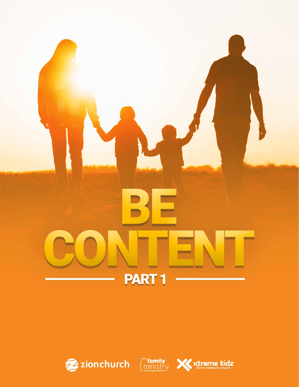





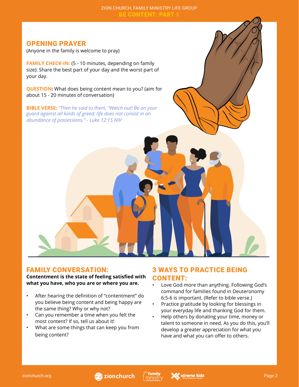## OPENING PRAYER

(Anyone in the family is welcome to pray)

**FAMILY CHECK-IN:** (5 - 10 minutes, depending on family size): Share the best part of your day and the worst part of your day.

**QUESTION:** What does being content mean to you? (aim for about 15 - 20 minutes of conversation)

**BIBLE VERSE:** *"Then he said to them, "Watch out! Be on your guard against all kinds of greed; life does not consist in an abundance of possessions." - Luke 12:15 NIV*

### FAMILY CONVERSATION:

**Contentment is the state of feeling satisfied with what you have, who you are or where you are.**

- After hearing the definition of "contentment" do you believe being content and being happy are the same thing? Why or why not?
- Can you remember a time when you felt the most content? If so, tell us about it!
- What are some things that can keep you from being content?

## 3 WAYS TO PRACTICE BEING CONTENT:

- Love God more than anything. Following God's command for families found in Deuteronomy 6:5-6 is important. (Refer to bible verse.)
- Practice gratitude by looking for blessings in your everyday life and thanking God for them.
- Help others by donating your time, money or talent to someone in need. As you do this, you'll develop a greater appreciation for what you have and what you can offer to others.